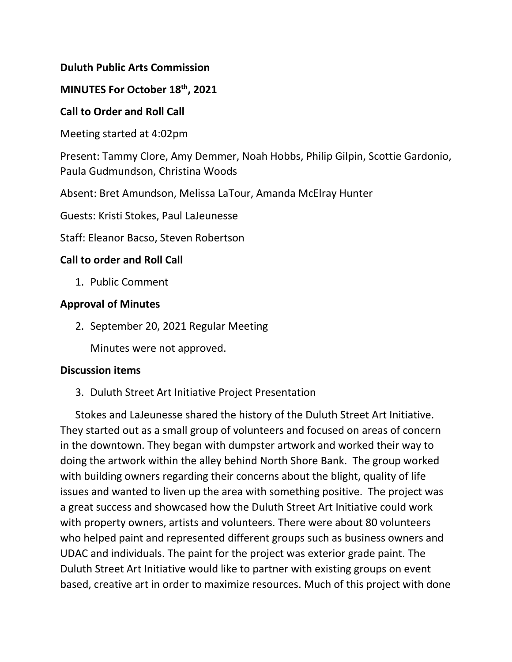### **Duluth Public Arts Commission**

## **MINUTES For October 18th, 2021**

### **Call to Order and Roll Call**

Meeting started at 4:02pm

Present: Tammy Clore, Amy Demmer, Noah Hobbs, Philip Gilpin, Scottie Gardonio, Paula Gudmundson, Christina Woods

Absent: Bret Amundson, Melissa LaTour, Amanda McElray Hunter

Guests: Kristi Stokes, Paul LaJeunesse

Staff: Eleanor Bacso, Steven Robertson

## **Call to order and Roll Call**

1. Public Comment

## **Approval of Minutes**

2. September 20, 2021 Regular Meeting

Minutes were not approved.

### **Discussion items**

3. Duluth Street Art Initiative Project Presentation

Stokes and LaJeunesse shared the history of the Duluth Street Art Initiative. They started out as a small group of volunteers and focused on areas of concern in the downtown. They began with dumpster artwork and worked their way to doing the artwork within the alley behind North Shore Bank. The group worked with building owners regarding their concerns about the blight, quality of life issues and wanted to liven up the area with something positive. The project was a great success and showcased how the Duluth Street Art Initiative could work with property owners, artists and volunteers. There were about 80 volunteers who helped paint and represented different groups such as business owners and UDAC and individuals. The paint for the project was exterior grade paint. The Duluth Street Art Initiative would like to partner with existing groups on event based, creative art in order to maximize resources. Much of this project with done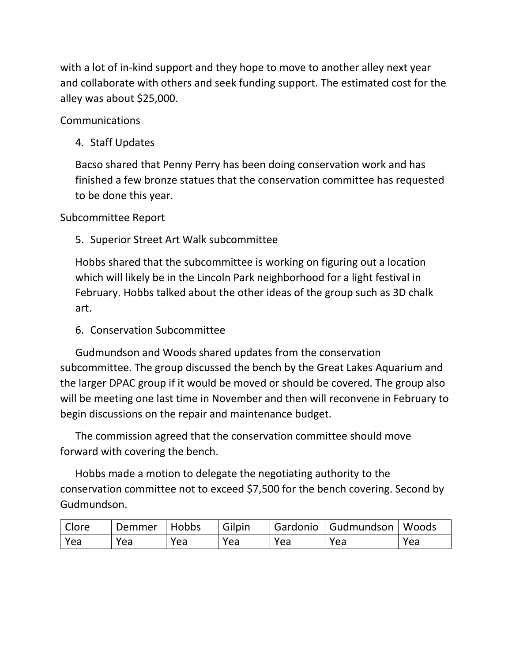with a lot of in-kind support and they hope to move to another alley next year and collaborate with others and seek funding support. The estimated cost for the alley was about \$25,000.

Communications

4. Staff Updates

Bacso shared that Penny Perry has been doing conservation work and has finished a few bronze statues that the conservation committee has requested to be done this year.

Subcommittee Report

5. Superior Street Art Walk subcommittee

Hobbs shared that the subcommittee is working on figuring out a location which will likely be in the Lincoln Park neighborhood for a light festival in February. Hobbs talked about the other ideas of the group such as 3D chalk art.

6. Conservation Subcommittee

Gudmundson and Woods shared updates from the conservation subcommittee. The group discussed the bench by the Great Lakes Aquarium and the larger DPAC group if it would be moved or should be covered. The group also will be meeting one last time in November and then will reconvene in February to begin discussions on the repair and maintenance budget.

The commission agreed that the conservation committee should move forward with covering the bench.

Hobbs made a motion to delegate the negotiating authority to the conservation committee not to exceed \$7,500 for the bench covering. Second by Gudmundson.

| <b>Clore</b> | Demmer | Hobbs | Gilpin |     | Gardonio   Gudmundson   Woods |     |
|--------------|--------|-------|--------|-----|-------------------------------|-----|
| l Yea        | Yea    | Yea   | Yea    | Yea | Yea                           | Yea |